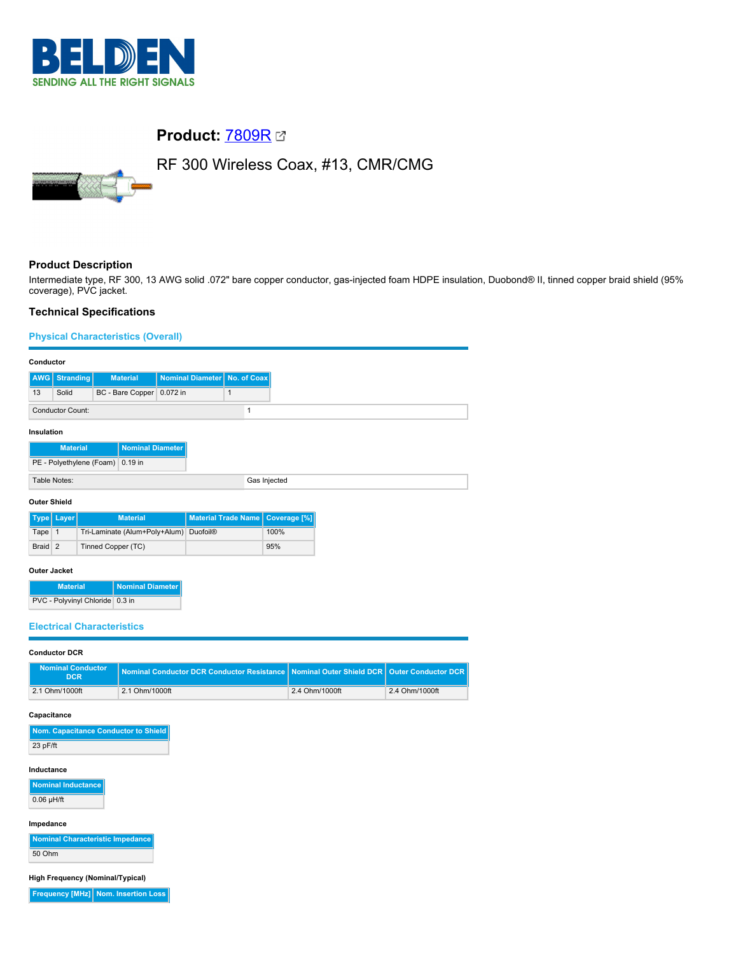

# **Product:** [7809R](https://catalog.belden.com/index.cfm?event=pd&p=PF_7809R&tab=downloads)

RF 300 Wireless Coax, #13, CMR/CMG

# **Product Description**

Intermediate type, RF 300, 13 AWG solid .072" bare copper conductor, gas-injected foam HDPE insulation, Duobond® II, tinned copper braid shield (95% coverage), PVC jacket.

## **Technical Specifications**

## **Physical Characteristics (Overall)**

|                                            | Conductor               |                             |                                |              |  |
|--------------------------------------------|-------------------------|-----------------------------|--------------------------------|--------------|--|
|                                            | <b>AWG</b> Stranding    | <b>Material</b>             | Nominal Diameter   No. of Coax |              |  |
| 13                                         | Solid                   | BC - Bare Copper   0.072 in |                                |              |  |
|                                            | <b>Conductor Count:</b> |                             |                                |              |  |
| Insulation                                 |                         |                             |                                |              |  |
| <b>Nominal Diameter</b><br><b>Material</b> |                         |                             |                                |              |  |
| PE - Polyethylene (Foam) 0.19 in           |                         |                             |                                |              |  |
|                                            | Table Notes:            |                             |                                | Gas Injected |  |
|                                            | Andrew Abdulla          |                             |                                |              |  |

### **Outer Shield**

|         | Type   Layer | <b>Material</b>                        | Material Trade Name   Coverage [%] |      |
|---------|--------------|----------------------------------------|------------------------------------|------|
| Tape 1  |              | Tri-Laminate (Alum+Poly+Alum) Duofoil® |                                    | 100% |
| Braid 2 |              | Tinned Copper (TC)                     |                                    | 95%  |

#### **Outer Jacket**

| <b>Material</b>                 | Nominal Diameter |
|---------------------------------|------------------|
| PVC - Polyvinyl Chloride 0.3 in |                  |

#### **Electrical Characteristics**

#### **Conductor DCR**

| <b>Nominal Conductor</b><br>'DCR | Nominal Conductor DCR Conductor Resistance Nominal Outer Shield DCR   Outer Conductor DCR |                |                |
|----------------------------------|-------------------------------------------------------------------------------------------|----------------|----------------|
| 2.1 Ohm/1000ft                   | 2.1 Ohm/1000ft                                                                            | 2.4 Ohm/1000ft | 2.4 Ohm/1000ft |

#### **Capacitance**

| Nom. Capacitance Conductor to Shield |
|--------------------------------------|
| 23 pF/ft                             |

#### **Inductance**

**Nominal Inductance**  $0.06$  µH/ft

#### **Impedance**

**Nominal Characteristic Impedance** 50 Ohm

**High Frequency (Nominal/Typical)**

**Frequency [MHz] Nom. Insertion Loss**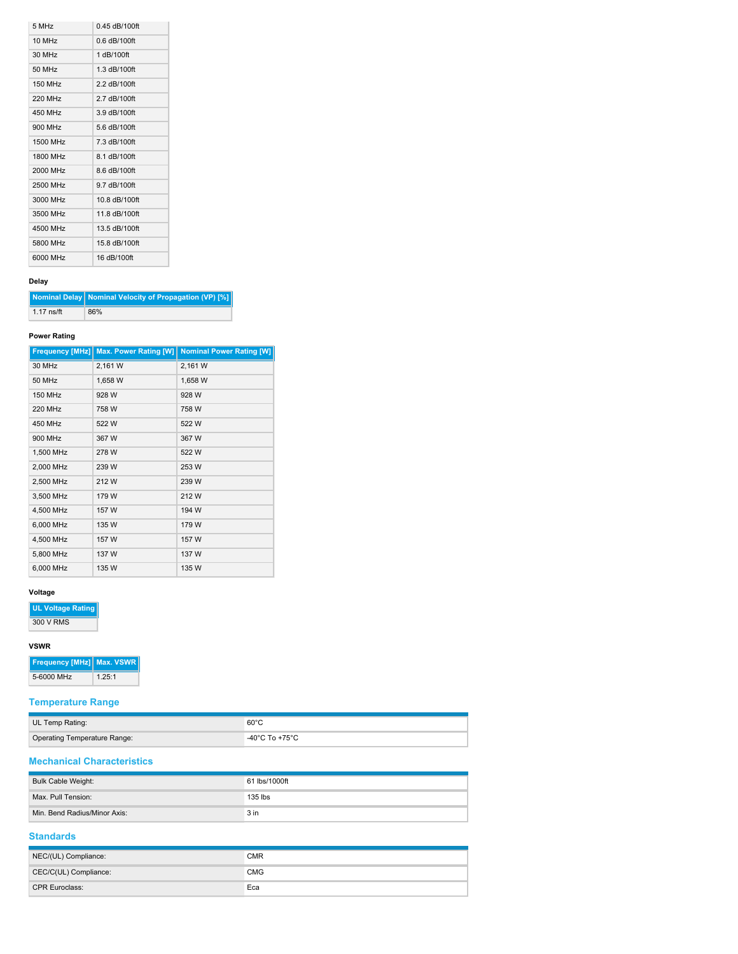| 5 MHz                | $0.45$ dB/100ft |
|----------------------|-----------------|
| $10$ MH <sub>z</sub> | $0.6$ dB/100ft  |
| 30 MHz               | 1 dB/100ft      |
| 50 MHz               | 1.3 dB/100ft    |
| <b>150 MHz</b>       | 2.2 dB/100ft    |
| 220 MHz              | 2.7 dB/100ft    |
| 450 MHz              | $3.9$ dB/100ft  |
| 900 MHz              | 5.6 dB/100ft    |
| 1500 MHz             | 7.3 dB/100ft    |
| 1800 MHz             | 8.1 dB/100ft    |
| 2000 MHz             | 8.6 dB/100ft    |
| 2500 MHz             | 9.7 dB/100ft    |
| 3000 MHz             | 10.8 dB/100ft   |
| 3500 MHz             | 11.8 dB/100ft   |
| 4500 MHz             | 13.5 dB/100ft   |
| 5800 MHz             | 15.8 dB/100ft   |
| 6000 MHz             | 16 dB/100ft     |

## **Delay**

**Nominal Delay Nominal Velocity of Propagation (VP) [%]** 1.17 ns/ft 86%

## **Power Rating**

| <b>Frequency [MHz]</b> | <b>Max. Power Rating [W]</b> | <b>Nominal Power Rating [W]</b> |
|------------------------|------------------------------|---------------------------------|
| 30 MHz                 | 2,161 W                      | 2,161 W                         |
| 50 MHz                 | 1,658 W                      | 1,658 W                         |
| <b>150 MHz</b>         | 928 W                        | 928 W                           |
| <b>220 MHz</b>         | 758 W                        | 758 W                           |
| 450 MHz                | 522W                         | 522W                            |
| 900 MHz                | 367 W                        | 367 W                           |
| 1,500 MHz              | 278 W                        | 522W                            |
| 2,000 MHz              | 239 W                        | 253 W                           |
| 2,500 MHz              | 212W                         | 239 W                           |
| 3,500 MHz              | 179 W                        | 212W                            |
| 4,500 MHz              | 157 W                        | 194 W                           |
| 6,000 MHz              | 135 W                        | 179 W                           |
| 4,500 MHz              | 157 W                        | 157 W                           |
| 5,800 MHz              | 137 W                        | 137 W                           |
| 6,000 MHz              | 135 W                        | 135 W                           |

## **Voltage**

**UL Voltage Rating**

300 V RMS

#### **VSWR**

| <b>Frequency [MHz]   Max. VSWR</b> |        |
|------------------------------------|--------|
| 5-6000 MHz                         | 1.25:1 |

# **Temperature Range**

| UL Temp Rating:                     | $60^{\circ}$ C |
|-------------------------------------|----------------|
| <b>Operating Temperature Range:</b> | -40°C To +75°C |

# **Mechanical Characteristics**

| Bulk Cable Weight:           | 61 lbs/1000ft   |
|------------------------------|-----------------|
| Max. Pull Tension:           | $135$ lbs       |
| Min. Bend Radius/Minor Axis: | 3 <sub>in</sub> |

## **Standards**

| NEC/(UL) Compliance:  | <b>CMR</b> |
|-----------------------|------------|
| CEC/C(UL) Compliance: | <b>CMG</b> |
| CPR Euroclass:        | Eca        |